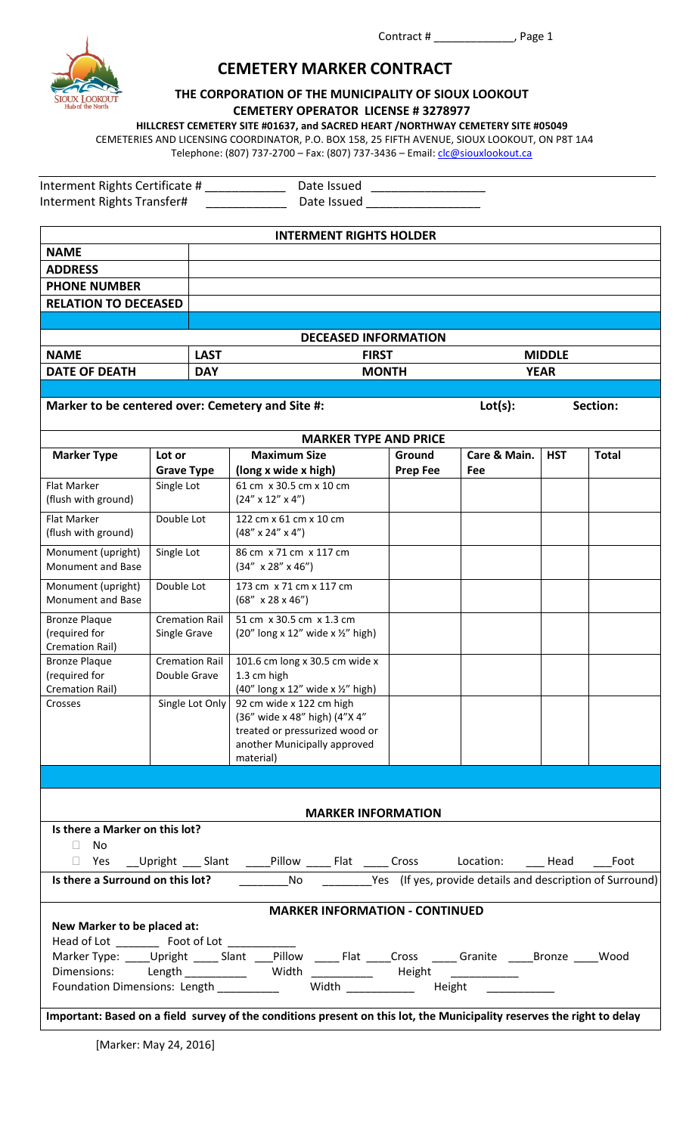

# **CEMETERY MARKER CONTRACT**

# **THE CORPORATION OF THE MUNICIPALITY OF SIOUX LOOKOUT CEMETERY OPERATOR LICENSE # 3278977**

**HILLCREST CEMETERY SITE #01637, and SACRED HEART /NORTHWAY CEMETERY SITE #05049**

CEMETERIES AND LICENSING COORDINATOR, P.O. BOX 158, 25 FIFTH AVENUE, SIOUX LOOKOUT, ON P8T 1A4 Telephone: (807) 737-2700 - Fax: (807) 737-3436 - Email: *clc@siouxlookout.ca* 

| Interment Rights Certificate # | Date Issued |  |
|--------------------------------|-------------|--|
| Interment Rights Transfer#     | Date Issued |  |

| <b>INTERMENT RIGHTS HOLDER</b>                                                                                                                                                                                                                                                                                                               |                   |                       |                                                                                                                                          |                 |              |               |              |
|----------------------------------------------------------------------------------------------------------------------------------------------------------------------------------------------------------------------------------------------------------------------------------------------------------------------------------------------|-------------------|-----------------------|------------------------------------------------------------------------------------------------------------------------------------------|-----------------|--------------|---------------|--------------|
| <b>NAME</b>                                                                                                                                                                                                                                                                                                                                  |                   |                       |                                                                                                                                          |                 |              |               |              |
| <b>ADDRESS</b>                                                                                                                                                                                                                                                                                                                               |                   |                       |                                                                                                                                          |                 |              |               |              |
| <b>PHONE NUMBER</b>                                                                                                                                                                                                                                                                                                                          |                   |                       |                                                                                                                                          |                 |              |               |              |
| <b>RELATION TO DECEASED</b>                                                                                                                                                                                                                                                                                                                  |                   |                       |                                                                                                                                          |                 |              |               |              |
|                                                                                                                                                                                                                                                                                                                                              |                   |                       |                                                                                                                                          |                 |              |               |              |
|                                                                                                                                                                                                                                                                                                                                              |                   |                       | <b>DECEASED INFORMATION</b>                                                                                                              |                 |              |               |              |
| <b>NAME</b>                                                                                                                                                                                                                                                                                                                                  |                   | <b>LAST</b>           | <b>FIRST</b>                                                                                                                             |                 |              | <b>MIDDLE</b> |              |
| <b>DATE OF DEATH</b>                                                                                                                                                                                                                                                                                                                         |                   | <b>DAY</b>            |                                                                                                                                          | <b>MONTH</b>    |              | <b>YEAR</b>   |              |
|                                                                                                                                                                                                                                                                                                                                              |                   |                       |                                                                                                                                          |                 |              |               |              |
| Marker to be centered over: Cemetery and Site #:                                                                                                                                                                                                                                                                                             |                   |                       |                                                                                                                                          |                 | Lot(s):      |               | Section:     |
|                                                                                                                                                                                                                                                                                                                                              |                   |                       | <b>MARKER TYPE AND PRICE</b>                                                                                                             |                 |              |               |              |
| <b>Marker Type</b>                                                                                                                                                                                                                                                                                                                           | Lot or            |                       | <b>Maximum Size</b>                                                                                                                      | Ground          | Care & Main. | <b>HST</b>    | <b>Total</b> |
|                                                                                                                                                                                                                                                                                                                                              | <b>Grave Type</b> |                       | (long x wide x high)                                                                                                                     | <b>Prep Fee</b> | Fee          |               |              |
| Flat Marker<br>(flush with ground)                                                                                                                                                                                                                                                                                                           | Single Lot        |                       | 61 cm x 30.5 cm x 10 cm<br>$(24'' \times 12'' \times 4'')$                                                                               |                 |              |               |              |
| Flat Marker<br>(flush with ground)                                                                                                                                                                                                                                                                                                           | Double Lot        |                       | 122 cm x 61 cm x 10 cm<br>$(48'' \times 24'' \times 4'')$                                                                                |                 |              |               |              |
| Monument (upright)<br>Monument and Base                                                                                                                                                                                                                                                                                                      | Single Lot        |                       | 86 cm x 71 cm x 117 cm<br>$(34'' \times 28'' \times 46'')$                                                                               |                 |              |               |              |
| Monument (upright)<br>Monument and Base                                                                                                                                                                                                                                                                                                      | Double Lot        |                       | 173 cm x 71 cm x 117 cm<br>$(68'' \times 28 \times 46'')$                                                                                |                 |              |               |              |
| <b>Bronze Plaque</b><br>(required for<br>Cremation Rail)                                                                                                                                                                                                                                                                                     | Single Grave      | <b>Cremation Rail</b> | 51 cm x 30.5 cm x 1.3 cm<br>(20" long x 12" wide x $\frac{1}{2}$ " high)                                                                 |                 |              |               |              |
| <b>Bronze Plaque</b><br>(required for<br><b>Cremation Rail)</b>                                                                                                                                                                                                                                                                              | Double Grave      | <b>Cremation Rail</b> | 101.6 cm long x 30.5 cm wide x<br>1.3 cm high<br>(40" long x 12" wide x 1/2" high)                                                       |                 |              |               |              |
| Crosses                                                                                                                                                                                                                                                                                                                                      |                   | Single Lot Only       | 92 cm wide x 122 cm high<br>(36" wide x 48" high) (4"X 4"<br>treated or pressurized wood or<br>another Municipally approved<br>material) |                 |              |               |              |
|                                                                                                                                                                                                                                                                                                                                              |                   |                       |                                                                                                                                          |                 |              |               |              |
|                                                                                                                                                                                                                                                                                                                                              |                   |                       | <b>MARKER INFORMATION</b>                                                                                                                |                 |              |               |              |
| Is there a Marker on this lot?                                                                                                                                                                                                                                                                                                               |                   |                       |                                                                                                                                          |                 |              |               |              |
| $\Box$ No                                                                                                                                                                                                                                                                                                                                    |                   |                       |                                                                                                                                          |                 |              |               |              |
|                                                                                                                                                                                                                                                                                                                                              |                   |                       |                                                                                                                                          |                 |              |               |              |
|                                                                                                                                                                                                                                                                                                                                              |                   |                       |                                                                                                                                          |                 |              |               |              |
| <b>MARKER INFORMATION - CONTINUED</b><br>New Marker to be placed at:<br>Marker Type: _____Upright ______ Slant ____Pillow ______ Flat _____Cross ______Granite _____Bronze _____Wood<br>Dimensions: Length __________ Width __________ Height __________<br>Foundation Dimensions: Length ___________ Width ___________ Height _____________ |                   |                       |                                                                                                                                          |                 |              |               |              |
| Important: Based on a field survey of the conditions present on this lot, the Municipality reserves the right to delay                                                                                                                                                                                                                       |                   |                       |                                                                                                                                          |                 |              |               |              |

[Marker: May 24, 2016]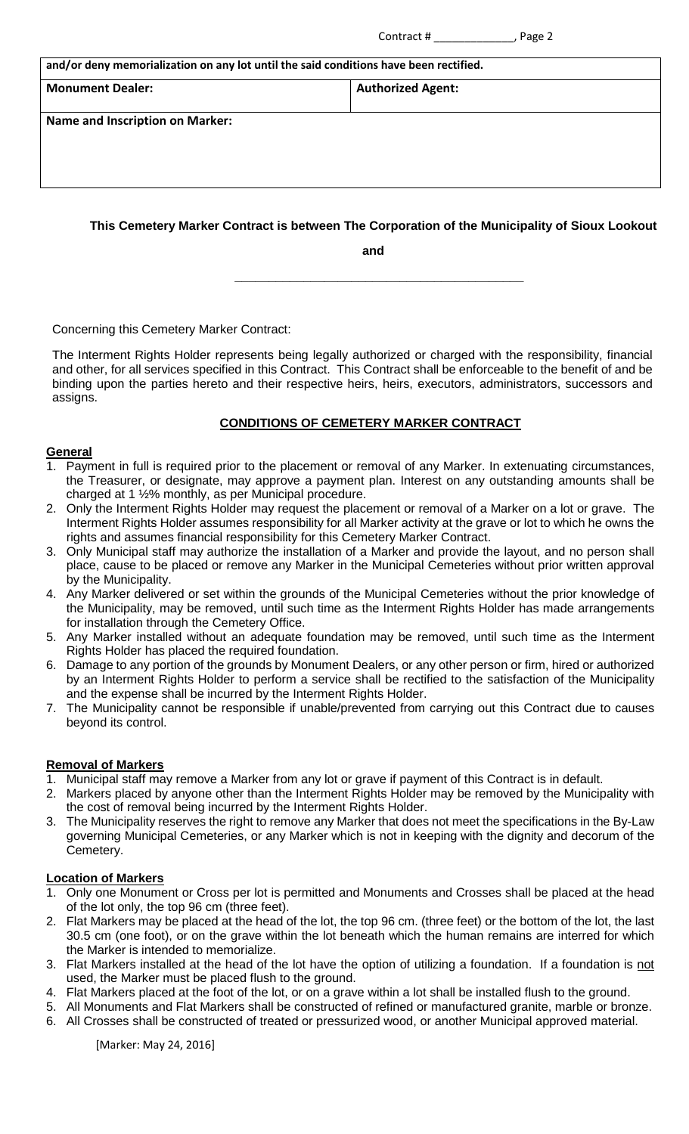| ontract # |  |
|-----------|--|
|           |  |

|                                                                                       | Page 2<br>Contract #     |  |
|---------------------------------------------------------------------------------------|--------------------------|--|
| and/or deny memorialization on any lot until the said conditions have been rectified. |                          |  |
| <b>Monument Dealer:</b>                                                               | <b>Authorized Agent:</b> |  |
| <b>Name and Inscription on Marker:</b>                                                |                          |  |
|                                                                                       |                          |  |
|                                                                                       |                          |  |

# **This Cemetery Marker Contract is between The Corporation of the Municipality of Sioux Lookout**

**and**

Concerning this Cemetery Marker Contract:

The Interment Rights Holder represents being legally authorized or charged with the responsibility, financial and other, for all services specified in this Contract. This Contract shall be enforceable to the benefit of and be binding upon the parties hereto and their respective heirs, heirs, executors, administrators, successors and assigns.

 **\_\_\_\_\_\_\_\_\_\_\_\_\_\_\_\_\_\_\_\_\_\_\_\_\_\_\_\_\_\_\_\_\_\_\_\_\_\_\_\_\_\_**

# **CONDITIONS OF CEMETERY MARKER CONTRACT**

## **General**

- 1. Payment in full is required prior to the placement or removal of any Marker. In extenuating circumstances, the Treasurer, or designate, may approve a payment plan. Interest on any outstanding amounts shall be charged at 1 ½% monthly, as per Municipal procedure.
- 2. Only the Interment Rights Holder may request the placement or removal of a Marker on a lot or grave. The Interment Rights Holder assumes responsibility for all Marker activity at the grave or lot to which he owns the rights and assumes financial responsibility for this Cemetery Marker Contract.
- 3. Only Municipal staff may authorize the installation of a Marker and provide the layout, and no person shall place, cause to be placed or remove any Marker in the Municipal Cemeteries without prior written approval by the Municipality.
- 4. Any Marker delivered or set within the grounds of the Municipal Cemeteries without the prior knowledge of the Municipality, may be removed, until such time as the Interment Rights Holder has made arrangements for installation through the Cemetery Office.
- 5. Any Marker installed without an adequate foundation may be removed, until such time as the Interment Rights Holder has placed the required foundation.
- 6. Damage to any portion of the grounds by Monument Dealers, or any other person or firm, hired or authorized by an Interment Rights Holder to perform a service shall be rectified to the satisfaction of the Municipality and the expense shall be incurred by the Interment Rights Holder.
- 7. The Municipality cannot be responsible if unable/prevented from carrying out this Contract due to causes beyond its control.

# **Removal of Markers**

- 1. Municipal staff may remove a Marker from any lot or grave if payment of this Contract is in default.
- 2. Markers placed by anyone other than the Interment Rights Holder may be removed by the Municipality with the cost of removal being incurred by the Interment Rights Holder.
- 3. The Municipality reserves the right to remove any Marker that does not meet the specifications in the By-Law governing Municipal Cemeteries, or any Marker which is not in keeping with the dignity and decorum of the Cemetery.

# **Location of Markers**

- 1. Only one Monument or Cross per lot is permitted and Monuments and Crosses shall be placed at the head of the lot only, the top 96 cm (three feet).
- 2. Flat Markers may be placed at the head of the lot, the top 96 cm. (three feet) or the bottom of the lot, the last 30.5 cm (one foot), or on the grave within the lot beneath which the human remains are interred for which the Marker is intended to memorialize.
- 3. Flat Markers installed at the head of the lot have the option of utilizing a foundation. If a foundation is not used, the Marker must be placed flush to the ground.
- 4. Flat Markers placed at the foot of the lot, or on a grave within a lot shall be installed flush to the ground.
- 5. All Monuments and Flat Markers shall be constructed of refined or manufactured granite, marble or bronze. 6. All Crosses shall be constructed of treated or pressurized wood, or another Municipal approved material.